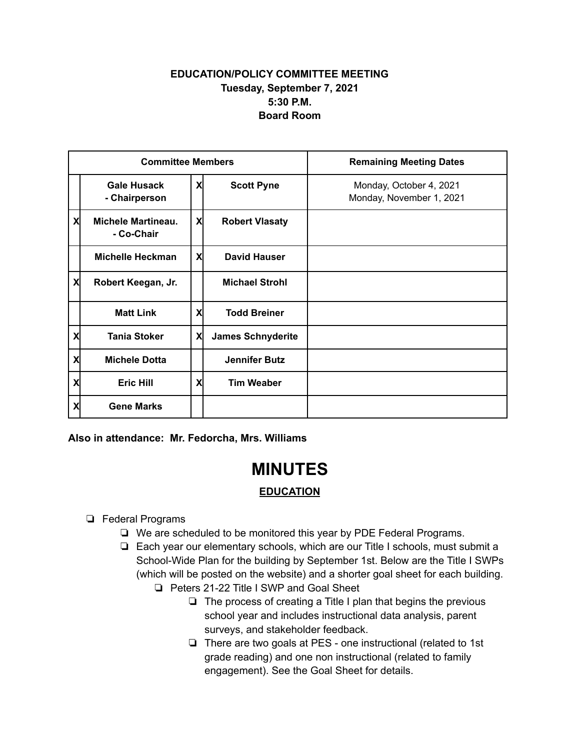## **EDUCATION/POLICY COMMITTEE MEETING Tuesday, September 7, 2021 5:30 P.M. Board Room**

| <b>Committee Members</b> |                                         |   |                          | <b>Remaining Meeting Dates</b>                      |
|--------------------------|-----------------------------------------|---|--------------------------|-----------------------------------------------------|
|                          | <b>Gale Husack</b><br>- Chairperson     | X | <b>Scott Pyne</b>        | Monday, October 4, 2021<br>Monday, November 1, 2021 |
| X                        | <b>Michele Martineau.</b><br>- Co-Chair | X | <b>Robert Vlasaty</b>    |                                                     |
|                          | Michelle Heckman                        | X | <b>David Hauser</b>      |                                                     |
| X                        | Robert Keegan, Jr.                      |   | <b>Michael Strohl</b>    |                                                     |
|                          | <b>Matt Link</b>                        | X | <b>Todd Breiner</b>      |                                                     |
| X                        | <b>Tania Stoker</b>                     | X | <b>James Schnyderite</b> |                                                     |
| X                        | <b>Michele Dotta</b>                    |   | <b>Jennifer Butz</b>     |                                                     |
| Χ                        | <b>Eric Hill</b>                        | X | <b>Tim Weaber</b>        |                                                     |
| χ                        | <b>Gene Marks</b>                       |   |                          |                                                     |

**Also in attendance: Mr. Fedorcha, Mrs. Williams**

## **MINUTES**

## **EDUCATION**

- ❏ Federal Programs
	- ❏ We are scheduled to be monitored this year by PDE Federal Programs.
	- ❏ Each year our elementary schools, which are our Title I schools, must submit a School-Wide Plan for the building by September 1st. Below are the Title I SWPs (which will be posted on the website) and a shorter goal sheet for each building.
		- ❏ Peters 21-22 Title I SWP and Goal Sheet
			- ❏ The process of creating a Title I plan that begins the previous school year and includes instructional data analysis, parent surveys, and stakeholder feedback.
			- ❏ There are two goals at PES one instructional (related to 1st grade reading) and one non instructional (related to family engagement). See the Goal Sheet for details.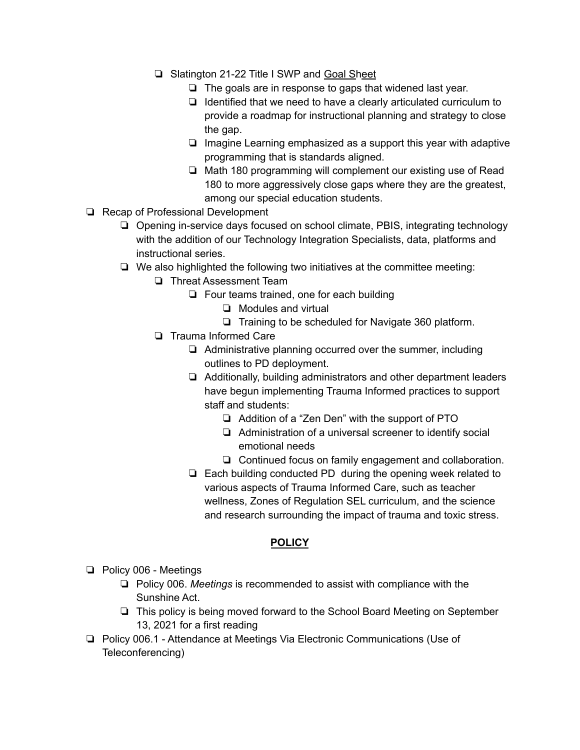- ❏ Slatington 21-22 Title I SWP and [Goal](https://drive.google.com/file/d/14shDl2bsaB7h1WMUo0zRQ38PGTIg3JLj/view?usp=sharing) Sh[eet](https://drive.google.com/file/d/14shDl2bsaB7h1WMUo0zRQ38PGTIg3JLj/view?usp=sharing)
	- ❏ The goals are in response to gaps that widened last year.
	- ❏ Identified that we need to have a clearly articulated curriculum to provide a roadmap for instructional planning and strategy to close the gap.
	- ❏ Imagine Learning emphasized as a support this year with adaptive programming that is standards aligned.
	- ❏ Math 180 programming will complement our existing use of Read 180 to more aggressively close gaps where they are the greatest, among our special education students.
- ❏ Recap of Professional Development
	- ❏ Opening in-service days focused on school climate, PBIS, integrating technology with the addition of our Technology Integration Specialists, data, platforms and instructional series.
	- ❏ We also highlighted the following two initiatives at the committee meeting:
		- ❏ Threat Assessment Team
			- ❏ Four teams trained, one for each building
				- ❏ Modules and virtual
					- ❏ Training to be scheduled for Navigate 360 platform.
		- ❏ Trauma Informed Care
			- ❏ Administrative planning occurred over the summer, including outlines to PD deployment.
			- ❏ Additionally, building administrators and other department leaders have begun implementing Trauma Informed practices to support staff and students:
				- ❏ Addition of a "Zen Den" with the support of PTO
				- ❏ Administration of a universal screener to identify social emotional needs
				- ❏ Continued focus on family engagement and collaboration.
			- ❏ Each building conducted PD during the opening week related to various aspects of Trauma Informed Care, such as teacher wellness, Zones of Regulation SEL curriculum, and the science and research surrounding the impact of trauma and toxic stress.

## **POLICY**

- ❏ Policy 006 Meetings
	- ❏ Policy 006. *Meetings* is recommended to assist with compliance with the Sunshine Act.
	- ❏ This policy is being moved forward to the School Board Meeting on September 13, 2021 for a first reading
- ❏ Policy 006.1 Attendance at Meetings Via Electronic Communications (Use of Teleconferencing)